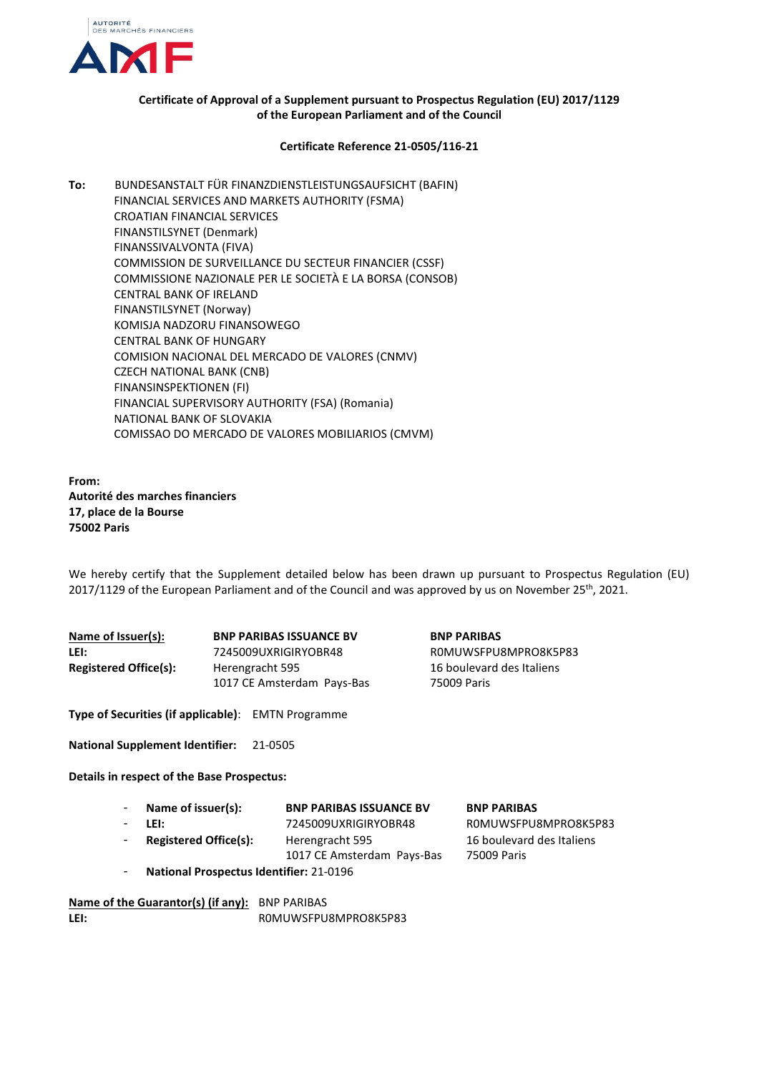

## **Certificate of Approval of a Supplement pursuant to Prospectus Regulation (EU) 2017/1129 of the European Parliament and of the Council**

## **Certificate Reference 21-0505/116-21**

**To:** BUNDESANSTALT FÜR FINANZDIENSTLEISTUNGSAUFSICHT (BAFIN) FINANCIAL SERVICES AND MARKETS AUTHORITY (FSMA) CROATIAN FINANCIAL SERVICES FINANSTILSYNET (Denmark) FINANSSIVALVONTA (FIVA) COMMISSION DE SURVEILLANCE DU SECTEUR FINANCIER (CSSF) COMMISSIONE NAZIONALE PER LE SOCIETÀ E LA BORSA (CONSOB) CENTRAL BANK OF IRELAND FINANSTILSYNET (Norway) KOMISJA NADZORU FINANSOWEGO CENTRAL BANK OF HUNGARY COMISION NACIONAL DEL MERCADO DE VALORES (CNMV) CZECH NATIONAL BANK (CNB) FINANSINSPEKTIONEN (FI) FINANCIAL SUPERVISORY AUTHORITY (FSA) (Romania) NATIONAL BANK OF SLOVAKIA COMISSAO DO MERCADO DE VALORES MOBILIARIOS (CMVM)

**From: Autorité des marches financiers 17, place de la Bourse 75002 Paris**

We hereby certify that the Supplement detailed below has been drawn up pursuant to Prospectus Regulation (EU) 2017/1129 of the European Parliament and of the Council and was approved by us on November 25th, 2021.

| Name of Issuer(s):           | <b>BNP PARIBAS ISSUANCE BV</b> |  |
|------------------------------|--------------------------------|--|
| LEI:                         | 7245009UXRIGIRYOBR48           |  |
| <b>Registered Office(s):</b> | Herengracht 595                |  |
|                              | 1017 CE Amsterdam Pays-Bas     |  |

 $BNP$  PARIBAS **LEI:** 7245009UXRIGIRYOBR48 R0MUWSFPU8MPRO8K5P83 16 boulevard des Italiens 75009 Paris

**Type of Securities (if applicable)**: EMTN Programme

**National Supplement Identifier:** 21-0505

**Details in respect of the Base Prospectus:**

| Name of issuer(s):                             | <b>BNP PARIBAS ISSUANCE BV</b> | <b>BNP PARIBAS</b>        |
|------------------------------------------------|--------------------------------|---------------------------|
| LEI:                                           | 7245009UXRIGIRYOBR48           | ROMUWSFPU8MPRO8K5P83      |
| <b>Registered Office(s):</b>                   | Herengracht 595                | 16 boulevard des Italiens |
|                                                | 1017 CE Amsterdam Pays-Bas     | 75009 Paris               |
| <b>National Prospectus Identifier: 21-0196</b> |                                |                           |

**Name of the Guarantor(s) (if any):** BNP PARIBAS LEI: ROMUWSFPU8MPRO8K5P83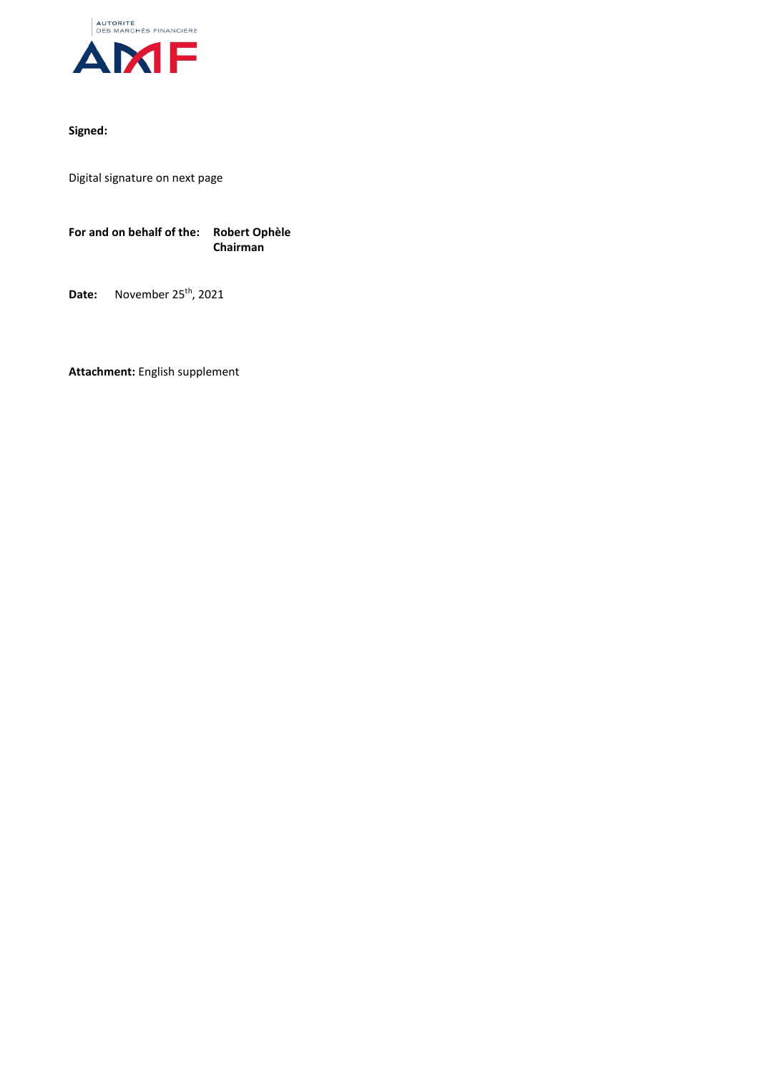

## **Signed:**

Digital signature on next page

**For and on behalf of the: Robert Ophèle Chairman**

**Date:** November 25<sup>th</sup>, 2021

**Attachment:** English supplement